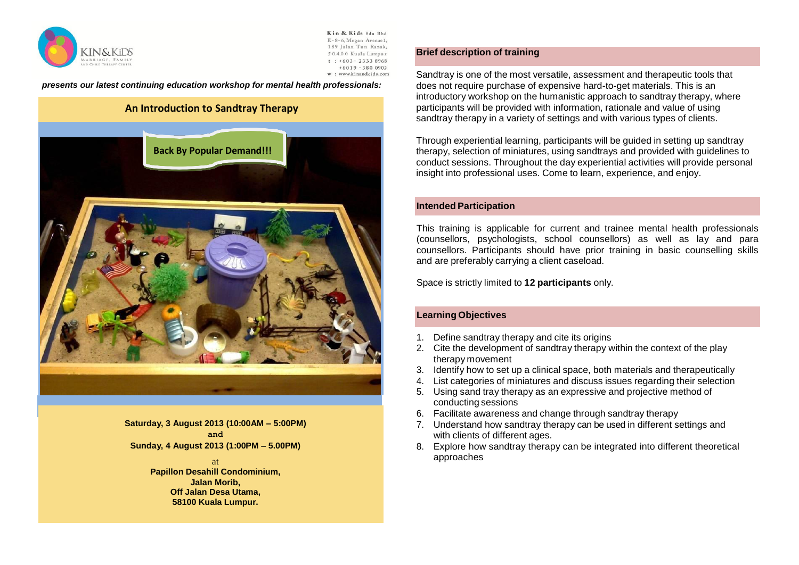

Kin & Kids Sdn Bhd E-8-6. Megan Avenue 1. 189 Jalan Tun Razak, 50400 Kuala Lumpur  $t : +603 - 23338968$  $+6019 - 3800902$ w: www.kinandkids.com

*presents our latest continuing education workshop for mental health professionals:*

# **An Introduction to Sandtray Therapy**



**Saturday, 3 August 2013 (10:00AM – 5:00PM) and Sunday, 4 August 2013 (1:00PM – 5.00PM)**

> at **Papillon Desahill Condominium, Jalan Morib, Off Jalan Desa Utama, 58100 Kuala Lumpur.**

# **Brief description of training**

Sandtray is one of the most versatile, assessment and therapeutic tools that does not require purchase of expensive hard-to-get materials. This is an introductory workshop on the humanistic approach to sandtray therapy, where participants will be provided with information, rationale and value of using sandtray therapy in a variety of settings and with various types of clients.

Through experiential learning, participants will be guided in setting up sandtray therapy, selection of miniatures, using sandtrays and provided with guidelines to conduct sessions. Throughout the day experiential activities will provide personal insight into professional uses. Come to learn, experience, and enjoy.

### **Intended Participation**

This training is applicable for current and trainee mental health professionals (counsellors, psychologists, school counsellors) as well as lay and para counsellors. Participants should have prior training in basic counselling skills and are preferably carrying a client caseload.

Space is strictly limited to **12 participants** only.

# **Learning Objectives**

- 1. Define sandtray therapy and cite its origins
- 2. Cite the development of sandtray therapy within the context of the play therapy movement
- 3. Identify how to set up a clinical space, both materials and therapeutically
- 4. List categories of miniatures and discuss issues regarding their selection
- 5. Using sand tray therapy as an expressive and projective method of conducting sessions
- 6. Facilitate awareness and change through sandtray therapy
- 7. Understand how sandtray therapy can be used in different settings and with clients of different ages.
- 8. Explore how sandtray therapy can be integrated into different theoretical approaches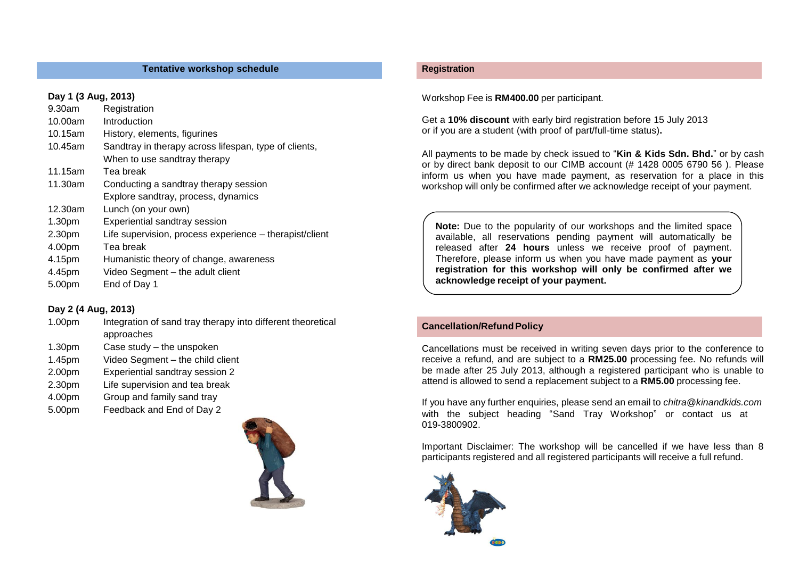## **Tentative workshop schedule**

# **Day 1 (3 Aug, 2013)**

| 9.30am             | Registration                                            |
|--------------------|---------------------------------------------------------|
| 10.00am            | Introduction                                            |
| 10.15am            | History, elements, figurines                            |
| 10.45am            | Sandtray in therapy across lifespan, type of clients,   |
|                    | When to use sandtray therapy                            |
| 11.15am            | Tea break                                               |
| 11.30am            | Conducting a sandtray therapy session                   |
|                    | Explore sandtray, process, dynamics                     |
| 12.30am            | Lunch (on your own)                                     |
| 1.30 <sub>pm</sub> | Experiential sandtray session                           |
| 2.30pm             | Life supervision, process experience - therapist/client |
| 4.00pm             | Tea break                                               |
| 4.15pm             | Humanistic theory of change, awareness                  |
| 4.45pm             | Video Segment - the adult client                        |
| 5.00pm             | End of Day 1                                            |

# **Day 2 (4 Aug, 2013)**

- 1.00pm Integration of sand tray therapy into different theoretical approaches
- 1.30pm Case study the unspoken
- 1.45pm Video Segment the child client
- 2.00pm Experiential sandtray session 2
- 2.30pm Life supervision and tea break
- 4.00pm Group and family sand tray
- 4 5.00pm Feedback and End of Day 2



## **Registration**

Workshop Fee is **RM400.00** per participant.

Get a **10% discount** with early bird registration before 15 July 2013 or if you are a student (with proof of part/full-time status)**.**

All payments to be made by check issued to "**Kin & Kids Sdn. Bhd.**" or by cash or by direct bank deposit to our CIMB account (# 1428 0005 6790 56 ). Please inform us when you have made payment, as reservation for a place in this workshop will only be confirmed after we acknowledge receipt of your payment.

**Note:** Due to the popularity of our workshops and the limited space available, all reservations pending payment will automatically be released after **24 hours** unless we receive proof of payment. Therefore, please inform us when you have made payment as **your registration for this workshop will only be confirmed after we acknowledge receipt of your payment.**

# **Cancellation/RefundPolicy**

Cancellations must be received in writing seven days prior to the conference to receive a refund, and are subject to a **RM25.00** processing fee. No refunds will be made after 25 July 2013, although a registered participant who is unable to attend is allowed to send a replacement subject to a **RM5.00** processing fee.

If you have any further enquiries, please send an email to *[chitra@kinandkids.com](mailto:chitra@kinandkids.com)* with the subject heading "Sand Tray Workshop" or contact us at 019-3800902.

Important Disclaimer: The workshop will be cancelled if we have less than 8 participants registered and all registered participants will receive a full refund.